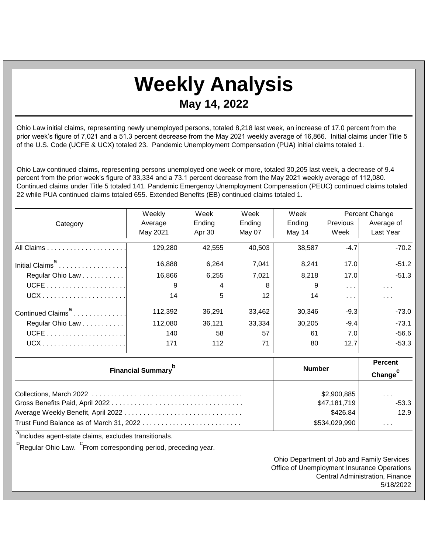## **Weekly Analysis May 14, 2022**

Ohio Law initial claims, representing newly unemployed persons, totaled 8,218 last week, an increase of 17.0 percent from the prior week's figure of 7,021 and a 51.3 percent decrease from the May 2021 weekly average of 16,866. Initial claims under Title 5 of the U.S. Code (UCFE & UCX) totaled 23. Pandemic Unemployment Compensation (PUA) initial claims totaled 1.

Ohio Law continued claims, representing persons unemployed one week or more, totaled 30,205 last week, a decrease of 9.4 percent from the prior week's figure of 33,334 and a 73.1 percent decrease from the May 2021 weekly average of 112,080. Continued claims under Title 5 totaled 141. Pandemic Emergency Unemployment Compensation (PEUC) continued claims totaled 22 while PUA continued claims totaled 655. Extended Benefits (EB) continued claims totaled 1.

|                               | Weekly        | Week   | Week                | Week   | <b>Percent Change</b> |                      |
|-------------------------------|---------------|--------|---------------------|--------|-----------------------|----------------------|
| Category                      | Average       | Ending | Ending              | Ending | <b>Previous</b>       | Average of           |
|                               | May 2021      | Apr 30 | May 07              | May 14 | Week                  | Last Year            |
|                               | 129,280       | 42,555 | 40,503              | 38,587 | $-4.7$                | $-70.2$              |
|                               | 16,888        | 6,264  | 7,041               | 8,241  | 17.0                  | $-51.2$              |
| Regular Ohio Law              | 16,866        | 6,255  | 7,021               | 8,218  | 17.0                  | $-51.3$              |
|                               | 9             |        | 8                   | 9      | $\sim$ $\sim$ $\sim$  | $\cdots$             |
|                               | 14            | 5      | 12                  | 14     | $\sim$ $\sim$         | $\sim$ $\sim$ $\sim$ |
| Continued Claims <sup>a</sup> | 112,392       | 36,291 | 33,462              | 30,346 | $-9.3$                | $-73.0$              |
| Regular Ohio Law              | 112,080       | 36,121 | 33,334              | 30,205 | $-9.4$                | $-73.1$              |
|                               | 140           | 58     | 57                  | 61     | 7.0                   | $-56.6$              |
|                               | 171           | 112    | 71                  | 80     | 12.7                  | $-53.3$              |
|                               | <b>Number</b> |        | <b>Percent</b>      |        |                       |                      |
| <b>Financial Summary</b>      |               |        | Change <sup>c</sup> |        |                       |                      |
|                               |               |        |                     |        |                       |                      |

|                                         | \$2,900,885   | $\sim$ $\sim$ $\sim$ |
|-----------------------------------------|---------------|----------------------|
|                                         | \$47,181,719  | $-53.3$              |
|                                         | \$426.84      | 12.9                 |
| Trust Fund Balance as of March 31, 2022 | \$534,029,990 | $\sim$ $\sim$ $\sim$ |

<sup>a</sup>Includes agent-state claims, excludes transitionals.

<sup>b</sup>Regular Ohio Law. <sup>C</sup>From corresponding period, preceding year.

Ohio Department of Job and Family Services Office of Unemployment Insurance Operations Central Administration, Finance 5/18/2022